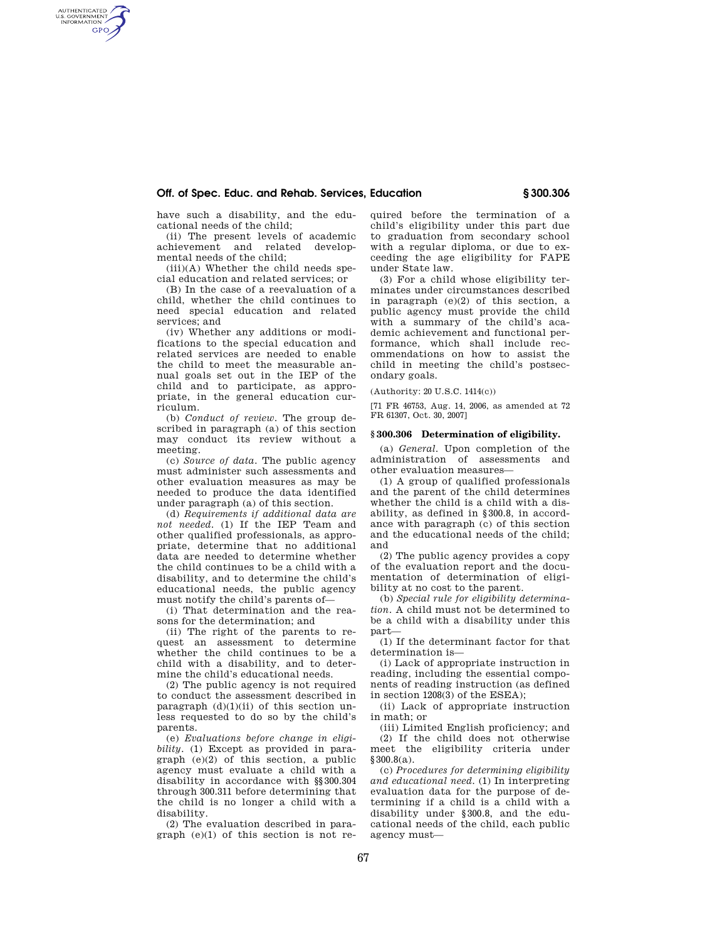# **Off. of Spec. Educ. and Rehab. Services, Education § 300.306**

have such a disability, and the educational needs of the child;

AUTHENTICATED<br>U.S. GOVERNMENT<br>INFORMATION **GPO** 

> (ii) The present levels of academic achievement and related developmental needs of the child;

> (iii)(A) Whether the child needs special education and related services; or

> (B) In the case of a reevaluation of a child, whether the child continues to need special education and related services; and

> (iv) Whether any additions or modifications to the special education and related services are needed to enable the child to meet the measurable annual goals set out in the IEP of the child and to participate, as appropriate, in the general education curriculum.

> (b) *Conduct of review.* The group described in paragraph (a) of this section may conduct its review without a meeting.

> (c) *Source of data.* The public agency must administer such assessments and other evaluation measures as may be needed to produce the data identified under paragraph (a) of this section.

> (d) *Requirements if additional data are not needed.* (1) If the IEP Team and other qualified professionals, as appropriate, determine that no additional data are needed to determine whether the child continues to be a child with a disability, and to determine the child's educational needs, the public agency must notify the child's parents of—

(i) That determination and the reasons for the determination; and

(ii) The right of the parents to request an assessment to determine whether the child continues to be a child with a disability, and to determine the child's educational needs.

(2) The public agency is not required to conduct the assessment described in paragraph  $(d)(1)(ii)$  of this section unless requested to do so by the child's parents.

(e) *Evaluations before change in eligibility.* (1) Except as provided in paragraph (e)(2) of this section, a public agency must evaluate a child with a disability in accordance with §§300.304 through 300.311 before determining that the child is no longer a child with a disability.

(2) The evaluation described in paragraph (e)(1) of this section is not required before the termination of a child's eligibility under this part due to graduation from secondary school with a regular diploma, or due to exceeding the age eligibility for FAPE under State law.

(3) For a child whose eligibility terminates under circumstances described in paragraph (e)(2) of this section, a public agency must provide the child with a summary of the child's academic achievement and functional performance, which shall include recommendations on how to assist the child in meeting the child's postsecondary goals.

(Authority: 20 U.S.C. 1414(c))

[71 FR 46753, Aug. 14, 2006, as amended at 72 FR 61307, Oct. 30, 2007]

#### **§ 300.306 Determination of eligibility.**

(a) *General.* Upon completion of the administration of assessments and other evaluation measures—

(1) A group of qualified professionals and the parent of the child determines whether the child is a child with a disability, as defined in §300.8, in accordance with paragraph (c) of this section and the educational needs of the child; and

(2) The public agency provides a copy of the evaluation report and the documentation of determination of eligibility at no cost to the parent.

(b) *Special rule for eligibility determination.* A child must not be determined to be a child with a disability under this part—

(1) If the determinant factor for that determination is—

(i) Lack of appropriate instruction in reading, including the essential components of reading instruction (as defined in section 1208(3) of the ESEA);

(ii) Lack of appropriate instruction in math; or

(iii) Limited English proficiency; and (2) If the child does not otherwise meet the eligibility criteria under §300.8(a).

(c) *Procedures for determining eligibility and educational need.* (1) In interpreting evaluation data for the purpose of determining if a child is a child with a disability under §300.8, and the educational needs of the child, each public agency must—